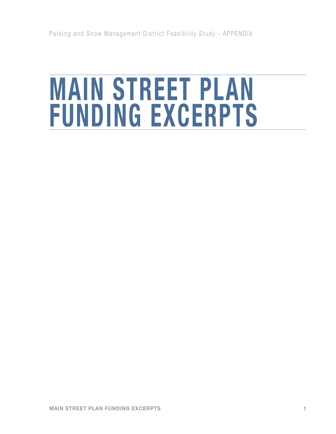# **MAIN STREET PLAN FUNDING EXCERPTS**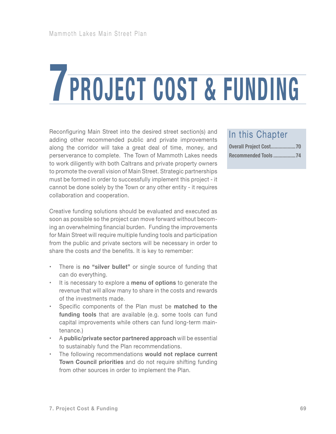# **7PROJECT COST & FUNDING**

Reconfiguring Main Street into the desired street section(s) and adding other recommended public and private improvements along the corridor will take a great deal of time, money, and perserverance to complete. The Town of Mammoth Lakes needs to work diligently with both Caltrans and private property owners to promote the overall vision of Main Street. Strategic partnerships must be formed in order to successfully implement this project - it cannot be done solely by the Town or any other entity - it requires collaboration and cooperation.

Creative funding solutions should be evaluated and executed as soon as possible so the project can move forward without becoming an overwhelming financial burden. Funding the improvements for Main Street will require multiple funding tools and participation from the public and private sectors will be necessary in order to share the costs *and* the benefits. It is key to remember:

- • There is **no "silver bullet"** or single source of funding that can do everything.
- • It is necessary to explore a **menu of options** to generate the revenue that will allow many to share in the costs and rewards of the investments made.
- Specific components of the Plan must be **matched to the funding tools** that are available (e.g. some tools can fund capital improvements while others can fund long-term maintenance.)
- • A **public/private sector partnered approach** will be essential to sustainably fund the Plan recommendations.
- • The following recommendations **would not replace current Town Council priorities** and do not require shifting funding from other sources in order to implement the Plan.

#### In this Chapter

| Recommended Tools74 |
|---------------------|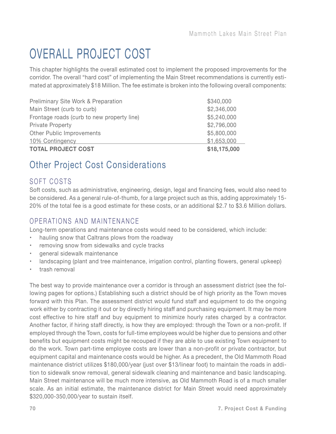# OVERALL PROJECT COST

This chapter highlights the overall estimated cost to implement the proposed improvements for the corridor. The overall "hard cost" of implementing the Main Street recommendations is currently estimated at approximately \$18 Million. The fee estimate is broken into the following overall components:

| Preliminary Site Work & Preparation        | \$340,000    |
|--------------------------------------------|--------------|
| Main Street (curb to curb)                 | \$2,346,000  |
| Frontage roads (curb to new property line) | \$5,240,000  |
| <b>Private Property</b>                    | \$2,796,000  |
| Other Public Improvements                  | \$5,800,000  |
| 10% Contingency                            | \$1,653,000  |
| <b>TOTAL PROJECT COST</b>                  | \$18,175,000 |

# Other Project Cost Considerations

#### SOFT COSTS

Soft costs, such as administrative, engineering, design, legal and financing fees, would also need to be considered. As a general rule-of-thumb, for a large project such as this, adding approximately 15- 20% of the total fee is a good estimate for these costs, or an additional \$2.7 to \$3.6 Million dollars.

#### OPERATIONS AND MAINTENANCE

Long-term operations and maintenance costs would need to be considered, which include:

- hauling snow that Caltrans plows from the roadway
- removing snow from sidewalks and cycle tracks
- general sidewalk maintenance
- landscaping (plant and tree maintenance, irrigation control, planting flowers, general upkeep)
- trash removal

The best way to provide maintenance over a corridor is through an assessment district (see the following pages for options.) Establishing such a district should be of high priority as the Town moves forward with this Plan. The assessment district would fund staff and equipment to do the ongoing work either by contracting it out or by directly hiring staff and purchasing equipment. It may be more cost effective to hire staff and buy equipment to minimize hourly rates charged by a contractor. Another factor, if hiring staff directly, is how they are employed: through the Town or a non-profit. If employed through the Town, costs for full-time employees would be higher due to pensions and other benefits but equipment costs might be recouped if they are able to use existing Town equipment to do the work. Town part-time employee costs are lower than a non-profit or private contractor, but equipment capital and maintenance costs would be higher. As a precedent, the Old Mammoth Road maintenance district utilizes \$180,000/year (just over \$13/linear foot) to maintain the roads in addition to sidewalk snow removal, general sidewalk cleaning and maintenance and basic landscaping. Main Street maintenance will be much more intensive, as Old Mammoth Road is of a much smaller scale. As an initial estimate, the maintenance district for Main Street would need approximately \$320,000-350,000/year to sustain itself.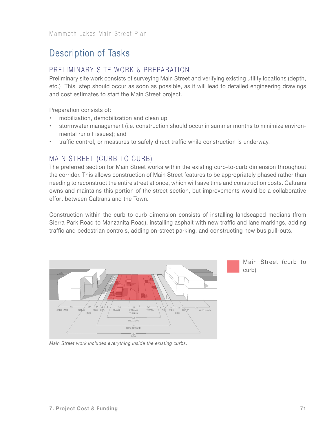# Description of Tasks

#### PRELIMINARY SITE WORK & PREPARATION

Preliminary site work consists of surveying Main Street and verifying existing utility locations (depth, etc.) This step should occur as soon as possible, as it will lead to detailed engineering drawings and cost estimates to start the Main Street project.

Preparation consists of:

- mobilization, demobilization and clean up
- stormwater management (i.e. construction should occur in summer months to minimize environmental runoff issues); and
- • traffic control, or measures to safely direct traffic while construction is underway.

#### MAIN STREET (CURB TO CURB)

The preferred section for Main Street works within the existing curb-to-curb dimension throughout the corridor. This allows construction of Main Street features to be appropriately phased rather than needing to reconstruct the entire street at once, which will save time and construction costs. Caltrans owns and maintains this portion of the street section, but improvements would be a collaborative effort between Caltrans and the Town.

Construction within the curb-to-curb dimension consists of installing landscaped medians (from Sierra Park Road to Manzanita Road), installing asphalt with new traffic and lane markings, adding traffic and pedestrian controls, adding on-street parking, and constructing new bus pull-outs.



*Main Street work includes everything inside the existing curbs.*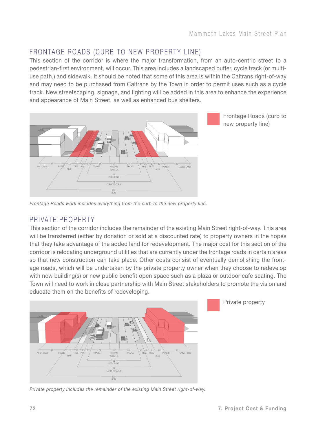### FRONTAGE ROADS (CURB TO NEW PROPERTY LINE)

This section of the corridor is where the major transformation, from an auto-centric street to a pedestrian-first environment, will occur. This area includes a landscaped buffer, cycle track (or multiuse path,) and sidewalk. It should be noted that some of this area is within the Caltrans right-of-way and may need to be purchased from Caltrans by the Town in order to permit uses such as a cycle track. New streetscaping, signage, and lighting will be added in this area to enhance the experience and appearance of Main Street, as well as enhanced bus shelters.



Frontage Roads (curb to new property line)

*Frontage Roads work includes everything from the curb to the new property line.*

#### PRIVATE PROPERTY

This section of the corridor includes the remainder of the existing Main Street right-of-way. This area will be transferred (either by donation or sold at a discounted rate) to property owners in the hopes that they take advantage of the added land for redevelopment. The major cost for this section of the corridor is relocating underground utilities that are currently under the frontage roads in certain areas so that new construction can take place. Other costs consist of eventually demolishing the frontage roads, which will be undertaken by the private property owner when they choose to redevelop with new building(s) or new public benefit open space such as a plaza or outdoor cafe seating. The Town will need to work in close partnership with Main Street stakeholders to promote the vision and educate them on the benefits of redeveloping.



Private property

*Private property includes the remainder of the existing Main Street right-of-way.*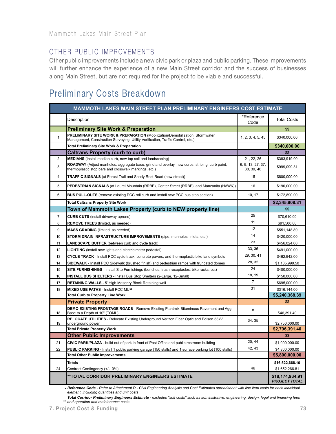#### OTHER PUBLIC IMPROVEMENTS

Other public improvements include a new civic park or plaza and public parking. These improvements will further enhance the experience of a new Main Street corridor and the success of businesses along Main Street, but are not required for the project to be viable and successful.

# Preliminary Costs Breakdown

| <b>MAMMOTH LAKES MAIN STREET PLAN PRELIMINARY ENGINEERS COST ESTIMATE</b> |                                                                                                                                                                  |                                 |                                         |
|---------------------------------------------------------------------------|------------------------------------------------------------------------------------------------------------------------------------------------------------------|---------------------------------|-----------------------------------------|
|                                                                           | Description                                                                                                                                                      | *Reference<br>Code              | <b>Total Costs</b>                      |
|                                                                           | <b>Preliminary Site Work &amp; Preparation</b>                                                                                                                   |                                 | \$\$                                    |
| $\mathbf{1}$                                                              | PRELIMINARY SITE WORK & PREPARATION (Mobilization/Demobilization, Stormwater<br>Management, Construction Surveying, Utility Verification, Traffic Control, etc.) | 1, 2, 3, 4, 5, 45               | \$340,000.00                            |
|                                                                           | <b>Total Preliminary Site Work &amp; Preparation</b>                                                                                                             |                                 | \$340,000.00                            |
|                                                                           | <b>Caltrans Property (curb to curb)</b>                                                                                                                          |                                 | \$\$                                    |
| $\overline{2}$                                                            | MEDIANS (Install median curb, new top soil and landscaping)                                                                                                      | 21, 22, 26                      | \$383,919.00                            |
| 3                                                                         | ROADWAY (Adjust manholes, aggregate base, grind and overlay, new curbs, striping, curb paint,<br>thermoplastic stop bars and crosswalk markings, etc.)           | 6, 9, 13, 27, 37,<br>38, 39, 40 | \$999,099.31                            |
| 4                                                                         | <b>TRAFFIC SIGNALS</b> (at Forest Trail and Shady Rest Road (new street))                                                                                        | 15                              | \$600,000.00                            |
| 5                                                                         | PEDESTRIAN SIGNALS (at Laurel Mountain (RRBF), Center Street (RRBF), and Manzanita (HAWK))                                                                       | 16                              | \$190,000.00                            |
| 6                                                                         | <b>BUS PULL-OUTS</b> (remove existing PCC roll curb and install new PCC bus stop section)                                                                        | 10, 17                          | \$172.890.00                            |
|                                                                           | <b>Total Caltrans Property Site Work</b>                                                                                                                         |                                 | \$2,345,908.31                          |
|                                                                           | Town of Mammoth Lakes Property (curb to NEW property line)                                                                                                       |                                 | \$\$                                    |
| $\overline{7}$                                                            | <b>CURB CUTS</b> (install driveway aprons)                                                                                                                       | 25                              | \$70,610.00                             |
| 8                                                                         | <b>REMOVE TREES</b> (limited, as needed)                                                                                                                         | 11                              | \$91,500.00                             |
| 9                                                                         | MASS GRADING (limited, as needed)                                                                                                                                | 12                              | \$551,148.89                            |
| 10                                                                        | STORM DRAIN INFRASTRUCTURE IMPROVEMENTS (pipe, manholes, inlets, etc.)                                                                                           | 14                              | \$420,000.00                            |
| 11                                                                        | <b>LANDSCAPE BUFFER</b> (between curb and cycle track)                                                                                                           | 23                              | \$456,024.00                            |
| 12                                                                        | <b>LIGHTING</b> (install new lights and electric meter pedestal)                                                                                                 | 33, 36                          | \$491,000.00                            |
| 13                                                                        | CYCLE TRACK - Install PCC cycle track, concrete pavers, and thermoplastic bike lane symbols                                                                      | 29, 30, 41                      | \$462,942.00                            |
| 14                                                                        | SIDEWALK - Install PCC Sidewalk (brushed finish) and pedestrian ramps with truncated domes                                                                       | 28, 32                          | \$1,135,999.50                          |
| 15                                                                        | SITE FURNISHINGS - Install Site Furnishings (benches, trash receptacles, bike racks, ect)                                                                        | 24                              | \$400,000.00                            |
| 16                                                                        | INSTALL BUS SHELTERS - Install Bus Stop Shelters (2-Large, 12-Small)                                                                                             | 18.19                           | \$150,000.00                            |
| 17                                                                        | <b>RETAINING WALLS - 5' High Masonry Block Retaining wall</b>                                                                                                    | $\overline{7}$                  | \$695,000.00                            |
| 18                                                                        | <b>MIXED USE PATHS - Install PCC MUP</b>                                                                                                                         | 31                              | \$316,144.00                            |
|                                                                           | <b>Total Curb to Property Line Work</b>                                                                                                                          |                                 | \$5,240,368,39                          |
|                                                                           | <b>Private Property</b>                                                                                                                                          |                                 | \$\$                                    |
| 18                                                                        | <b>DEMO EXISTING FRONTAGE ROADS</b> - Remove Existing Plantmix Bituminous Pavement and Agg<br>Base to a Depth of 10" (TOML)                                      | 8                               | \$46,391.40                             |
| 19                                                                        | RELOCATE UTILITIES - Relocate Existing Underground Verizon Fiber Optic and Edison 33kV<br>underground power                                                      | 34, 35                          | \$2,750,000.00                          |
|                                                                           | <b>Total Private Property Work</b>                                                                                                                               |                                 | \$2,796,391.40                          |
|                                                                           | <b>Other Public Improvements</b>                                                                                                                                 |                                 | \$\$                                    |
| 21                                                                        | CIVIC PARK/PLAZA - build out of park in front of Post Office and public restroom building                                                                        | 20, 44                          | \$1,000,000.00                          |
| 22                                                                        | PUBLIC PARKING - Install 1 public parking garage (150 stalls) and 1 surface parking lot (100 stalls)                                                             | 42, 43                          | \$4,800,000.00                          |
|                                                                           | <b>Total Other Public Improvements</b>                                                                                                                           |                                 | \$5,800,000.00                          |
|                                                                           | <b>Totals</b>                                                                                                                                                    |                                 | \$16,522,668.10                         |
| 24                                                                        | Contract Contingency (+/-10%)                                                                                                                                    | 46                              | \$1,652,266.81                          |
|                                                                           | **TOTAL CORRIDOR PRELIMINARY ENGINEERS ESTIMATE                                                                                                                  |                                 | \$18,174,934.91<br><b>PROJECT TOTAL</b> |

\* *Reference Code - Refer to Attachment D - Civil Engineering Analysis and Cost Estimates spreadsheet with line item costs for each individual element, including quantities and unit costs*

\*\* *and operation and maintenance costs.Total Corridor Preliminary Engineers Estimate - excludes "soft costs" such as administrative, engineering, design, legal and financing fees*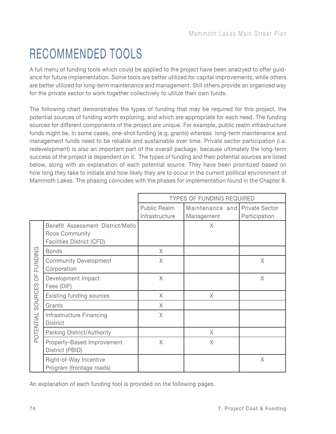# RECOMMENDED TOOLS

A full menu of funding tools which could be applied to the project have been analzyed to offer guidance for future implementation. Some tools are better utilized for capital improvements, while others are better utilized for long-term maintenance and management. Still others provide an organized way for the private sector to work together collectively to utilize their own funds.

The following chart demonstrates the types of funding that may be required for this project, the potential sources of funding worth exploring, and which are appropriate for each need. The funding sources for different components of the project are unique. For example, public realm infrastructure funds might be, in some cases, one-shot funding (e.g. grants) whereas long-term maintenance and management funds need to be reliable and sustainable over time. Private sector participation (i.e. redevelopment) is also an important part of the overall package, because ultimately the long-term success of the project is dependent on it. The types of funding and their potential sources are listed below, along with an explanation of each potential source. They have been prioritized based on how long they take to initiate and how likely they are to occur in the current political environment of Mammoth Lakes. The phasing coincides with the phases for implementation found in the Chapter 8.

|                                                                         |                                                                                  | <b>TYPES OF FUNDING REQUIRED</b>      |                               |                                        |
|-------------------------------------------------------------------------|----------------------------------------------------------------------------------|---------------------------------------|-------------------------------|----------------------------------------|
|                                                                         |                                                                                  | <b>Public Realm</b><br>Infrastructure | Maintenance and<br>Management | <b>Private Sector</b><br>Participation |
|                                                                         | Benefit Assessment District/Mello<br>Roos Community<br>Facilities District (CFD) |                                       | X                             |                                        |
|                                                                         | <b>Bonds</b>                                                                     | X                                     |                               |                                        |
| FUNDING                                                                 | <b>Community Development</b><br>Corporation                                      | X                                     |                               | $\mathsf X$                            |
| $\overline{0}$                                                          | Development Impact<br>Fees (DIF)                                                 | $\chi$                                |                               | $\chi$                                 |
|                                                                         | <b>Existing funding sources</b>                                                  | X                                     | X.                            |                                        |
| SOURCES                                                                 | Grants                                                                           | X                                     |                               |                                        |
| POTENTIAL                                                               | Infrastructure Financing<br><b>District</b>                                      | $\chi$                                |                               |                                        |
|                                                                         | Parking District/Authority                                                       |                                       | X                             |                                        |
|                                                                         | Property-Based Improvement<br>District (PBID)                                    | X                                     | X                             |                                        |
|                                                                         | Right-of-Way Incentive<br>Program (frontage roads)                               |                                       |                               | $\chi$                                 |
| An explanation of each funding tool is provided on the following pages. |                                                                                  |                                       |                               |                                        |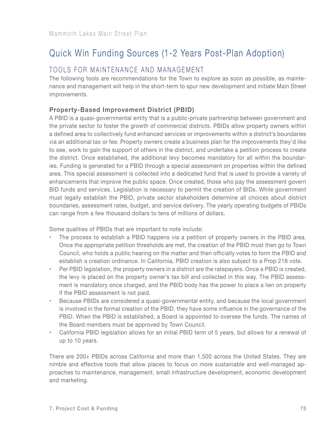# Quick Win Funding Sources (1-2 Years Post-Plan Adoption)

#### TOOLS FOR MAINTENANCE AND MANAGEMENT

The following tools are recommendations for the Town to explore as soon as possible, as maintenance and management will help in the short-term to spur new development and initiate Main Street improvements.

#### **Property-Based Improvement District (PBID)**

A PBID is a quasi-governmental entity that is a public-private partnership between government and the private sector to foster the growth of commercial districts. PBIDs allow property owners within a defined area to collectively fund enhanced services or improvements within a district's boundaries via an additional tax or fee. Property owners create a business plan for the improvements they'd like to see, work to gain the support of others in the district, and undertake a petition process to create the district. Once established, the additional levy becomes mandatory for all within the boundaries. Funding is generated for a PBID through a special assessment on properties within the defined area. This special assessment is collected into a dedicated fund that is used to provide a variety of enhancements that improve the public space. Once created, those who pay the assessment govern BID funds and services. Legislation is necessary to permit the creation of BIDs. While government must legally establish the PBID, private sector stakeholders determine all choices about district boundaries, assessment rates, budget, and service delivery. The yearly operating budgets of PBIDs can range from a few thousand dollars to tens of millions of dollars.

Some qualities of PBIDs that are important to note include:

- The process to establish a PBID happens via a petition of property owners in the PBID area. Once the appropriate petition thresholds are met, the creation of the PBID must then go to Town Council, who holds a public hearing on the matter and then officially votes to form the PBID and establish a creation ordinance. In California, PBID creation is also subject to a Prop 218 vote.
- • Per PBID legislation, the property owners in a district are the ratepayers. Once a PBID is created, the levy is placed on the property owner's tax bill and collected in this way. The PBID assessment is mandatory once charged, and the PBID body has the power to place a lien on property if the PBID assessment is not paid.
- Because PBIDs are considered a quasi-governmental entity, and because the local government is involved in the formal creation of the PBID, they have some influence in the governance of the PBID. When the PBID is established, a Board is appointed to oversee the funds. The names of the Board members must be approved by Town Council.
- • California PBID legislation allows for an initial PBID term of 5 years, but allows for a renewal of up to 10 years.

There are 200+ PBIDs across California and more than 1,500 across the United States. They are nimble and effective tools that allow places to focus on more sustainable and well-managed approaches to maintenance, management, small infrastructure development, economic development and marketing.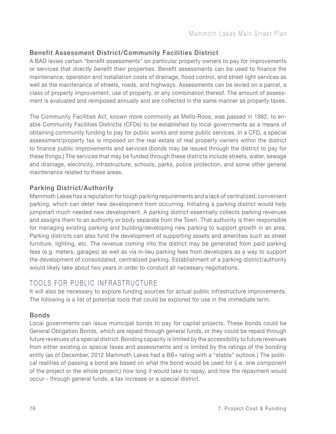#### **Benefit Assessment District/Community Facilities District**

A BAD levies certain "benefit assessments" on particular property owners to pay for improvements or services that *directly benefit* their properties. Benefit assessments can be used to finance the maintenance, operation and installation costs of drainage, flood control, and street light services as well as the maintenance of streets, roads, and highways. Assessments can be levied on a parcel, a class of property improvement, use of property, or any combination thereof. The amount of assessment is evaluated and reimposed annually and are collected in the same manner as property taxes.

The Community Facilities Act, known more commonly as Mello-Roos, was passed in 1982, to enable Community Facilities Districtis (CFDs) to be established by local governments as a means of obtaining community funding to pay for public works and some public services. In a CFD, a special assessment/property tax is imposed on the real estate of real property owners within the district to finance public improvements and services (bonds may be issued through the district to pay for these things.) The services that may be funded through these districts include streets, water, sewage and drainage, electricity, infrastructure, schools, parks, police protection, and some other general maintenance related to these areas.

#### **Parking District/Authority**

Mammoth Lakes has a reputation for tough parking requirements and a lack of centralized, convenient parking, which can deter new development from occurring. Initiating a parking district would help jumpstart much needed new development. A parking district essentially collects parking revenues and assigns them to an authority or body separate from the Town. That authority is then responsible for managing existing parking and building/developing new parking to support growth in an area. Parking districts can also fund the development of supporting assets and amenities such as street furniture, lighting, etc. The revenue coming into the district may be generated from paid parking fees (e.g. meters, garages) as well as via in-lieu parking fees from developers as a way to support the development of consolidated, centralized parking. Establishment of a parking district/authority would likely take about two years in order to conduct all necessary negotiations.

#### TOOLS FOR PUBLIC INFRASTRUCTURE

It will also be necessary to explore funding sources for actual public infrastructure improvements. The following is a list of potential tools that could be explored for use in the immediate term.

#### **Bonds**

Local governments can issue municipal bonds to pay for capital projects. These bonds could be General Obligation Bonds, which are repaid through general funds, or they could be repaid through future revenues of a special district. Bonding capacity is limited by the accessibility to future revenues from either existing or special taxes and assessments and is limited by the ratings of the bonding entity (as of December, 2012 Mammoth Lakes had a BB+ rating with a "stable" outlook.) The political realities of passing a bond are based on what the bond would be used for (i.e. one component of the project or the whole project,) how long it would take to repay, and how the repayment would occur - through general funds, a tax increase or a special district.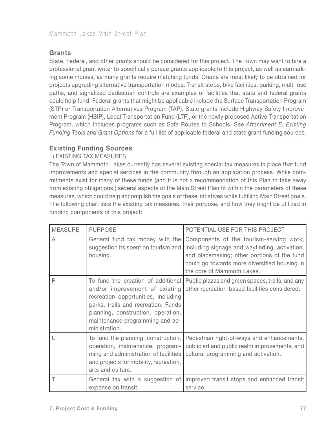#### **Grants**

State, Federal, and other grants should be considered for this project. The Town may want to hire a professional grant writer to specifically pursue grants applicable to this project, as well as earmarking some monies, as many grants require matching funds. Grants are most likely to be obtained for projects upgrading alternative transportation modes. Transit stops, bike facilities, parking, multi-use paths, and signalized pedestrian controls are examples of facilities that state and federal grants could help fund. Federal grants that might be applicable include the Surface Transportation Program (STP) or Transportation Alternatives Program (TAP). State grants include Highway Safety Improvement Program (HSIP), Local Transportation Fund (LTF), or the newly proposed Active Transportation Program, which includes programs such as Safe Routes to Schools. See *Attachment E: Existing Funding Tools and Grant Options* for a full list of applicable federal and state grant funding sources.

#### **Existing Funding Sources**

#### 1) EXISTING TAX MEASURES

The Town of Mammoth Lakes currently has several existing special tax measures in place that fund improvements and special services in the community through an application process. While commitments exist for many of these funds (and it is not a recommendation of this Plan to take away from existing obligations,) several aspects of the Main Street Plan fit within the parameters of these measures, which could help accomplish the goals of these initiatives while fulfilling Main Street goals. The following chart lists the existing tax measures, their purpose, and how they might be utilized in funding components of this project:

| <b>MEASURE</b> | <b>PURPOSE</b>                                                                                                                                                                                                                               | POTENTIAL USE FOR THIS PROJECT                                                                                                                                                                                        |
|----------------|----------------------------------------------------------------------------------------------------------------------------------------------------------------------------------------------------------------------------------------------|-----------------------------------------------------------------------------------------------------------------------------------------------------------------------------------------------------------------------|
| A              | General fund tax money with the<br>suggestion its spent on tourism and<br>housing.                                                                                                                                                           | Components of the tourism-serving work,<br>including signage and wayfinding, activation,<br>and placemaking; other portions of the fund<br>could go towards more diversified housing in<br>the core of Mammoth Lakes. |
| R              | To fund the creation of additional<br>and/or improvement of existing<br>recreation opportunities, including<br>parks, trails and recreation. Funds<br>planning, construction, operation,<br>maintenance programming and ad-<br>ministration. | Public plazas and green spaces, trails, and any<br>other recreation-based facilities considered.                                                                                                                      |
| $\vert \vert$  | To fund the planning, construction,<br>operation, maintenance, program-<br>ming and administration of facilities<br>and projects for mobility, recreation,<br>arts and culture.                                                              | Pedestrian right-of-ways and enhancements,<br>public art and public realm improvements, and<br>cultural programming and activation.                                                                                   |
|                | General tax with a suggestion of<br>expense on transit.                                                                                                                                                                                      | Improved transit stops and enhanced transit<br>service.                                                                                                                                                               |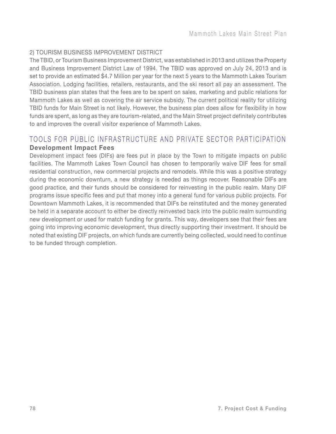#### 2) TOURISM BUSINESS IMPROVEMENT DISTRICT

The TBID, or Tourism Business Improvement District, was established in 2013 and utilizes the Property and Business Improvement District Law of 1994. The TBID was approved on July 24, 2013 and is set to provide an estimated \$4.7 Million per year for the next 5 years to the Mammoth Lakes Tourism Association. Lodging facilities, retailers, restaurants, and the ski resort all pay an assessment. The TBID business plan states that the fees are to be spent on sales, marketing and public relations for Mammoth Lakes as well as covering the air service subsidy. The current political reality for utilizing TBID funds for Main Street is not likely. However, the business plan does allow for flexibility in how funds are spent, as long as they are tourism-related, and the Main Street project definitely contributes to and improves the overall visitor experience of Mammoth Lakes.

#### TOOLS FOR PUBLIC INFRASTRUCTURE AND PRIVATE SECTOR PARTICIPATION **Development Impact Fees**

Development impact fees (DIFs) are fees put in place by the Town to mitigate impacts on public facilities. The Mammoth Lakes Town Council has chosen to temporarily waive DIF fees for small residential construction, new commercial projects and remodels. While this was a positive strategy during the economic downturn, a new strategy is needed as things recover. Reasonable DIFs are good practice, and their funds should be considered for reinvesting in the public realm. Many DIF programs issue specific fees and put that money into a general fund for various public projects. For Downtown Mammoth Lakes, it is recommended that DIFs be reinstituted and the money generated be held in a separate account to either be directly reinvested back into the public realm surrounding new development or used for match funding for grants. This way, developers see that their fees are going into improving economic development, thus directly supporting their investment. It should be noted that existing DIF projects, on which funds are currently being collected, would need to continue to be funded through completion.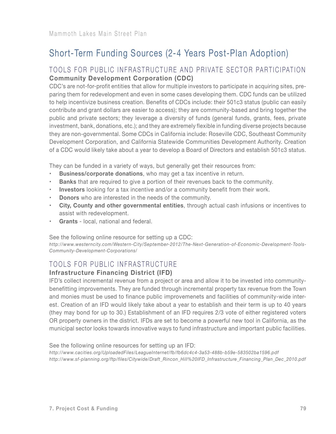# Short-Term Funding Sources (2-4 Years Post-Plan Adoption)

#### TOOLS FOR PUBLIC INFRASTRUCTURE AND PRIVATE SECTOR PARTICIPATION **Community Development Corporation (CDC)**

CDC's are not-for-profit entities that allow for multiple investors to participate in acquiring sites, preparing them for redevelopment and even in some cases developing them. CDC funds can be utilized to help incentivize business creation. Benefits of CDCs include: their 501c3 status (public can easily contribute and grant dollars are easier to access); they are community-based and bring together the public and private sectors; they leverage a diversity of funds (general funds, grants, fees, private investment, bank, donations, etc.); and they are extremely flexible in funding diverse projects because they are non-governmental. Some CDCs in California include: Roseville CDC, Southeast Community Development Corporation, and California Statewide Communities Development Authority. Creation of a CDC would likely take about a year to develop a Board of Directors and establish 501c3 status.

They can be funded in a variety of ways, but generally get their resources from:

- **Business/corporate donations**, who may get a tax incentive in return.
- **Banks** that are required to give a portion of their revenues back to the community.
- **• Investors** looking for a tax incentive and/or a community benefit from their work.
- **Donors** who are interested in the needs of the community.
- **• City, County and other governmental entities**, through actual cash infusions or incentives to assist with redevelopment.
- **Grants** local, national and federal.

See the following online resource for setting up a CDC:

*http://www.westerncity.com/Western-City/September-2012/The-Next-Generation-of-Economic-Development-Tools-Community-Development-Corporations/*

#### TOOLS FOR PUBLIC INFRASTRUCTURE

#### **Infrastructure Financing District (IFD)**

IFD's collect incremental revenue from a project or area and allow it to be invested into communitybenefitting improvements. They are funded through incremental property tax revenue from the Town and monies must be used to finance public improvemenets and facilities of community-wide interest. Creation of an IFD would likely take about a year to establish and their term is up to 40 years (they may bond for up to 30.) Establishment of an IFD requires 2/3 vote of either registered voters OR property owners in the district. IFDs are set to become a powerful new tool in California, as the municipal sector looks towards innovative ways to fund infrastructure and important public facilities.

See the following online resources for setting up an IFD:

*http://www.cacities.org/UploadedFiles/LeagueInternet/fb/fb6dc4c4-3a53-488b-b59e-583502ba1596.pdf http://www.sf-planning.org/ftp/files/Citywide/Draft\_Rincon\_Hill%20IFD\_Infrastructure\_Financing\_Plan\_Dec\_2010.pdf*